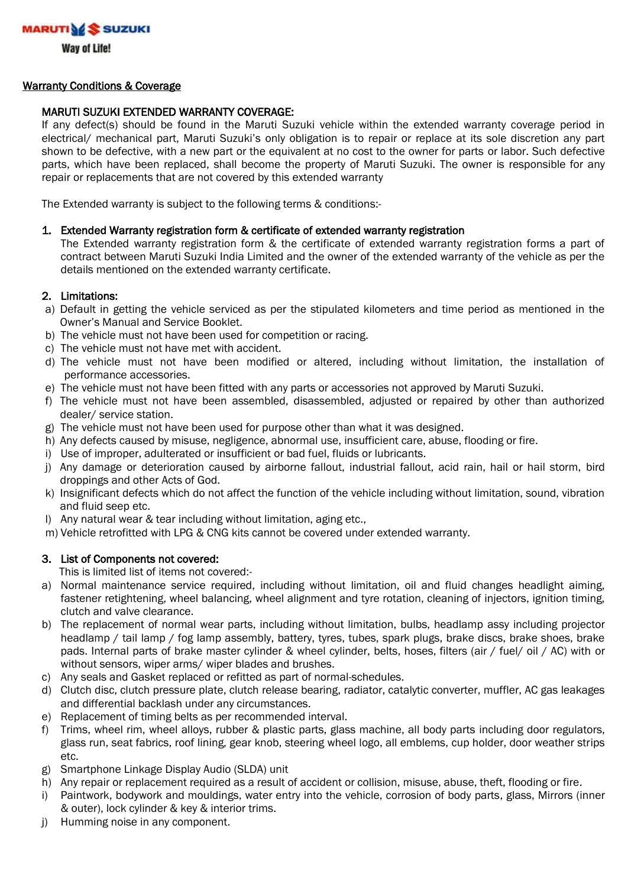

Way of Life!

#### Warranty Conditions & Coverage

### MARUTI SUZUKI EXTENDED WARRANTY COVERAGE:

If any defect(s) should be found in the Maruti Suzuki vehicle within the extended warranty coverage period in electrical/ mechanical part, Maruti Suzuki's only obligation is to repair or replace at its sole discretion any part shown to be defective, with a new part or the equivalent at no cost to the owner for parts or labor. Such defective parts, which have been replaced, shall become the property of Maruti Suzuki. The owner is responsible for any repair or replacements that are not covered by this extended warranty

The Extended warranty is subject to the following terms & conditions:-

#### 1. Extended Warranty registration form & certificate of extended warranty registration

The Extended warranty registration form & the certificate of extended warranty registration forms a part of contract between Maruti Suzuki India Limited and the owner of the extended warranty of the vehicle as per the details mentioned on the extended warranty certificate.

#### 2. Limitations:

- a) Default in getting the vehicle serviced as per the stipulated kilometers and time period as mentioned in the Owner's Manual and Service Booklet.
- b) The vehicle must not have been used for competition or racing.
- c) The vehicle must not have met with accident.
- d) The vehicle must not have been modified or altered, including without limitation, the installation of performance accessories.
- e) The vehicle must not have been fitted with any parts or accessories not approved by Maruti Suzuki.
- f) The vehicle must not have been assembled, disassembled, adjusted or repaired by other than authorized dealer/ service station.
- g) The vehicle must not have been used for purpose other than what it was designed.
- h) Any defects caused by misuse, negligence, abnormal use, insufficient care, abuse, flooding or fire.
- i) Use of improper, adulterated or insufficient or bad fuel, fluids or lubricants.
- j) Any damage or deterioration caused by airborne fallout, industrial fallout, acid rain, hail or hail storm, bird droppings and other Acts of God.
- k) Insignificant defects which do not affect the function of the vehicle including without limitation, sound, vibration and fluid seep etc.
- l) Any natural wear & tear including without limitation, aging etc.,
- m) Vehicle retrofitted with LPG & CNG kits cannot be covered under extended warranty.

#### 3. List of Components not covered:

This is limited list of items not covered:-

- a) Normal maintenance service required, including without limitation, oil and fluid changes headlight aiming, fastener retightening, wheel balancing, wheel alignment and tyre rotation, cleaning of injectors, ignition timing, clutch and valve clearance.
- b) The replacement of normal wear parts, including without limitation, bulbs, headlamp assy including projector headlamp / tail lamp / fog lamp assembly, battery, tyres, tubes, spark plugs, brake discs, brake shoes, brake pads. Internal parts of brake master cylinder & wheel cylinder, belts, hoses, filters (air / fuel/ oil / AC) with or without sensors, wiper arms/ wiper blades and brushes.
- c) Any seals and Gasket replaced or refitted as part of normal-schedules.
- d) Clutch disc, clutch pressure plate, clutch release bearing, radiator, catalytic converter, muffler, AC gas leakages and differential backlash under any circumstances.
- e) Replacement of timing belts as per recommended interval.
- f) Trims, wheel rim, wheel alloys, rubber & plastic parts, glass machine, all body parts including door regulators, glass run, seat fabrics, roof lining, gear knob, steering wheel logo, all emblems, cup holder, door weather strips etc.
- g) Smartphone Linkage Display Audio (SLDA) unit
- h) Any repair or replacement required as a result of accident or collision, misuse, abuse, theft, flooding or fire.
- i) Paintwork, bodywork and mouldings, water entry into the vehicle, corrosion of body parts, glass, Mirrors (inner & outer), lock cylinder & key & interior trims.
- j) Humming noise in any component.